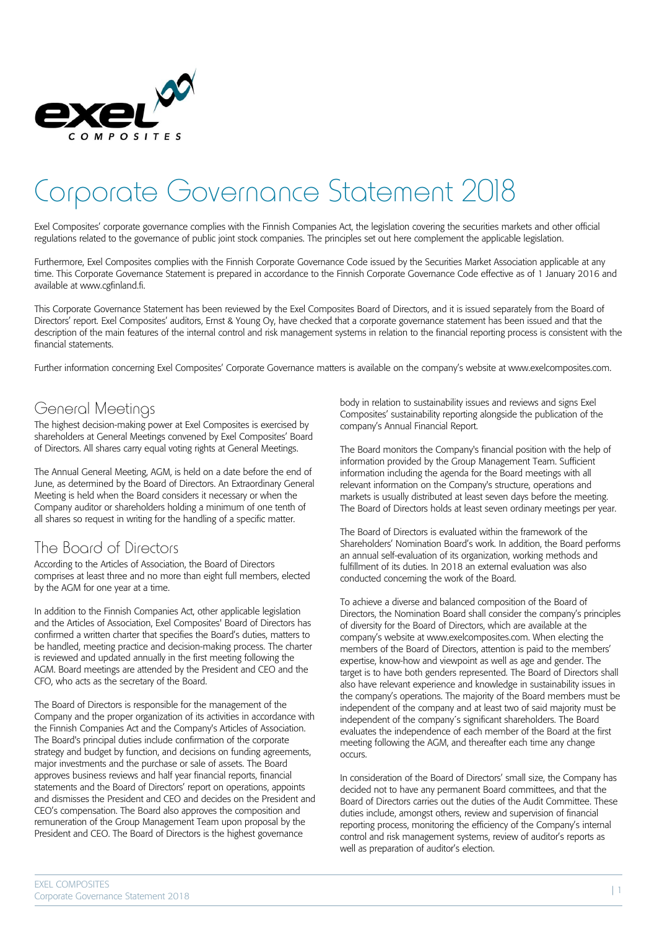

# Corporate Governance Statement 2018

Exel Composites' corporate governance complies with the Finnish Companies Act, the legislation covering the securities markets and other official regulations related to the governance of public joint stock companies. The principles set out here complement the applicable legislation.

Furthermore, Exel Composites complies with the Finnish Corporate Governance Code issued by the Securities Market Association applicable at any time. This Corporate Governance Statement is prepared in accordance to the Finnish Corporate Governance Code effective as of 1 January 2016 and available at www.cgfinland.fi.

This Corporate Governance Statement has been reviewed by the Exel Composites Board of Directors, and it is issued separately from the Board of Directors' report. Exel Composites' auditors, Ernst & Young Oy, have checked that a corporate governance statement has been issued and that the description of the main features of the internal control and risk management systems in relation to the financial reporting process is consistent with the financial statements.

Further information concerning Exel Composites' Corporate Governance matters is available on the company's website at www.exelcomposites.com.

## General Meetings

The highest decision-making power at Exel Composites is exercised by shareholders at General Meetings convened by Exel Composites' Board of Directors. All shares carry equal voting rights at General Meetings.

The Annual General Meeting, AGM, is held on a date before the end of June, as determined by the Board of Directors. An Extraordinary General Meeting is held when the Board considers it necessary or when the Company auditor or shareholders holding a minimum of one tenth of all shares so request in writing for the handling of a specific matter.

## The Board of Directors

According to the Articles of Association, the Board of Directors comprises at least three and no more than eight full members, elected by the AGM for one year at a time.

In addition to the Finnish Companies Act, other applicable legislation and the Articles of Association, Exel Composites' Board of Directors has confirmed a written charter that specifies the Board's duties, matters to be handled, meeting practice and decision-making process. The charter is reviewed and updated annually in the first meeting following the AGM. Board meetings are attended by the President and CEO and the CFO, who acts as the secretary of the Board.

The Board of Directors is responsible for the management of the Company and the proper organization of its activities in accordance with the Finnish Companies Act and the Company's Articles of Association. The Board's principal duties include confirmation of the corporate strategy and budget by function, and decisions on funding agreements, major investments and the purchase or sale of assets. The Board approves business reviews and half year financial reports, financial statements and the Board of Directors' report on operations, appoints and dismisses the President and CEO and decides on the President and CEO's compensation. The Board also approves the composition and remuneration of the Group Management Team upon proposal by the President and CEO. The Board of Directors is the highest governance

body in relation to sustainability issues and reviews and signs Exel Composites' sustainability reporting alongside the publication of the company's Annual Financial Report.

The Board monitors the Company's financial position with the help of information provided by the Group Management Team. Sufficient information including the agenda for the Board meetings with all relevant information on the Company's structure, operations and markets is usually distributed at least seven days before the meeting. The Board of Directors holds at least seven ordinary meetings per year.

The Board of Directors is evaluated within the framework of the Shareholders' Nomination Board's work. In addition, the Board performs an annual self-evaluation of its organization, working methods and fulfillment of its duties. In 2018 an external evaluation was also conducted concerning the work of the Board.

To achieve a diverse and balanced composition of the Board of Directors, the Nomination Board shall consider the company's principles of diversity for the Board of Directors, which are available at the company's website at www.exelcomposites.com. When electing the members of the Board of Directors, attention is paid to the members' expertise, know-how and viewpoint as well as age and gender. The target is to have both genders represented. The Board of Directors shall also have relevant experience and knowledge in sustainability issues in the company's operations. The majority of the Board members must be independent of the company and at least two of said majority must be independent of the company´s significant shareholders. The Board evaluates the independence of each member of the Board at the first meeting following the AGM, and thereafter each time any change occurs.

In consideration of the Board of Directors' small size, the Company has decided not to have any permanent Board committees, and that the Board of Directors carries out the duties of the Audit Committee. These duties include, amongst others, review and supervision of financial reporting process, monitoring the efficiency of the Company's internal control and risk management systems, review of auditor's reports as well as preparation of auditor's election.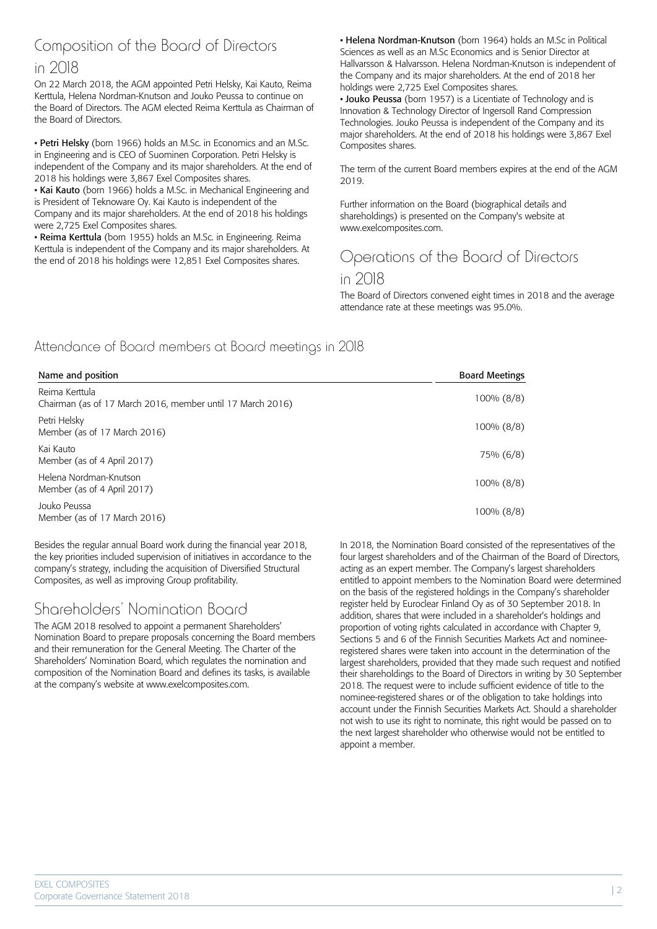# Composition of the Board of Directors

#### in 2018

On 22 March 2018, the AGM appointed Petri Helsky, Kai Kauto, Reima Kerttula, Helena Nordman-Knutson and Jouko Peussa to continue on the Board of Directors. The AGM elected Reima Kerttula as Chairman of the Board of Directors.

• Petri Helsky (born 1966) holds an M.Sc. in Economics and an M.Sc. in Engineering and is CEO of Suominen Corporation. Petri Helsky is independent of the Company and its major shareholders. At the end of 2018 his holdings were 3,867 Exel Composites shares.

• Kai Kauto (born 1966) holds a M.Sc. in Mechanical Engineering and is President of Teknoware Oy. Kai Kauto is independent of the Company and its major shareholders. At the end of 2018 his holdings were 2,725 Exel Composites shares.

• Reima Kerttula (born 1955) holds an M.Sc. in Engineering. Reima Kerttula is independent of the Company and its major shareholders. At the end of 2018 his holdings were 12,851 Exel Composites shares.

• Helena Nordman-Knutson (born 1964) holds an M.Sc in Political Sciences as well as an M.Sc Economics and is Senior Director at Hallvarsson & Halvarsson. Helena Nordman-Knutson is independent of the Company and its major shareholders. At the end of 2018 her holdings were 2,725 Exel Composites shares.

• Jouko Peussa (born 1957) is a Licentiate of Technology and is Innovation & Technology Director of Ingersoll Rand Compression Technologies. Jouko Peussa is independent of the Company and its major shareholders. At the end of 2018 his holdings were 3,867 Exel Composites shares.

The term of the current Board members expires at the end of the AGM 2019.

Further information on the Board (biographical details and shareholdings) is presented on the Company's website at www.exelcomposites.com.

# Operations of the Board of Directors

#### in 2018

The Board of Directors convened eight times in 2018 and the average attendance rate at these meetings was 95.0%.

#### Attendance of Board members at Board meetings in 2018

| Name and position                                                            | <b>Board Meetings</b> |
|------------------------------------------------------------------------------|-----------------------|
| Reima Kerttula<br>Chairman (as of 17 March 2016, member until 17 March 2016) | $100\% (8/8)$         |
| Petri Helsky<br>Member (as of 17 March 2016)                                 | 100% (8/8)            |
| Kai Kauto<br>Member (as of 4 April 2017)                                     | 75% (6/8)             |
| Helena Nordman-Knutson<br>Member (as of 4 April 2017)                        | 100% (8/8)            |
| Jouko Peussa<br>Member (as of 17 March 2016)                                 | 100% (8/8)            |

Besides the regular annual Board work during the financial year 2018, the key priorities included supervision of initiatives in accordance to the company's strategy, including the acquisition of Diversified Structural Composites, as well as improving Group profitability.

## Shareholders' Nomination Board

The AGM 2018 resolved to appoint a permanent Shareholders' Nomination Board to prepare proposals concerning the Board members and their remuneration for the General Meeting. The Charter of the Shareholders' Nomination Board, which regulates the nomination and composition of the Nomination Board and defines its tasks, is available at the company's website at www.exelcomposites.com.

In 2018, the Nomination Board consisted of the representatives of the four largest shareholders and of the Chairman of the Board of Directors, acting as an expert member. The Company's largest shareholders entitled to appoint members to the Nomination Board were determined on the basis of the registered holdings in the Company's shareholder register held by Euroclear Finland Oy as of 30 September 2018. In addition, shares that were included in a shareholder's holdings and proportion of voting rights calculated in accordance with Chapter 9, Sections 5 and 6 of the Finnish Securities Markets Act and nomineeregistered shares were taken into account in the determination of the largest shareholders, provided that they made such request and notified their shareholdings to the Board of Directors in writing by 30 September 2018. The request were to include sufficient evidence of title to the nominee-registered shares or of the obligation to take holdings into account under the Finnish Securities Markets Act. Should a shareholder not wish to use its right to nominate, this right would be passed on to the next largest shareholder who otherwise would not be entitled to appoint a member.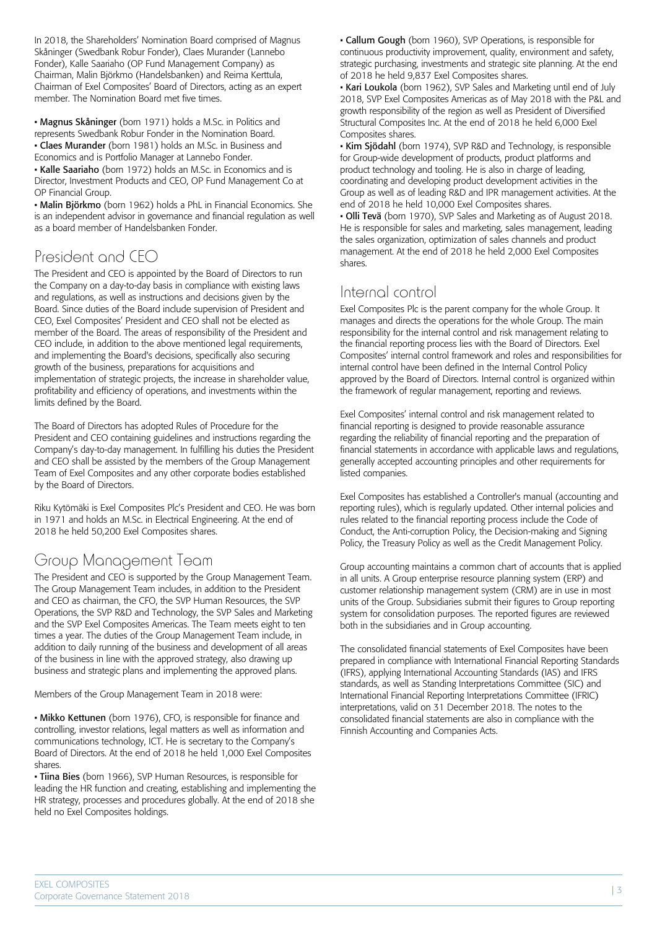In 2018, the Shareholders' Nomination Board comprised of Magnus Skåninger (Swedbank Robur Fonder), Claes Murander (Lannebo Fonder), Kalle Saariaho (OP Fund Management Company) as Chairman, Malin Björkmo (Handelsbanken) and Reima Kerttula, Chairman of Exel Composites' Board of Directors, acting as an expert member. The Nomination Board met five times.

• Magnus Skåninger (born 1971) holds a M.Sc. in Politics and represents Swedbank Robur Fonder in the Nomination Board. • Claes Murander (born 1981) holds an M.Sc. in Business and Economics and is Portfolio Manager at Lannebo Fonder.

• Kalle Saariaho (born 1972) holds an M.Sc. in Economics and is Director, Investment Products and CEO, OP Fund Management Co at OP Financial Group.

• Malin Björkmo (born 1962) holds a PhL in Financial Economics. She is an independent advisor in governance and financial regulation as well as a board member of Handelsbanken Fonder.

# President and CEO

The President and CEO is appointed by the Board of Directors to run the Company on a day-to-day basis in compliance with existing laws and regulations, as well as instructions and decisions given by the Board. Since duties of the Board include supervision of President and CEO, Exel Composites' President and CEO shall not be elected as member of the Board. The areas of responsibility of the President and CEO include, in addition to the above mentioned legal requirements, and implementing the Board's decisions, specifically also securing growth of the business, preparations for acquisitions and implementation of strategic projects, the increase in shareholder value, profitability and efficiency of operations, and investments within the limits defined by the Board.

The Board of Directors has adopted Rules of Procedure for the President and CEO containing guidelines and instructions regarding the Company's day-to-day management. In fulfilling his duties the President and CEO shall be assisted by the members of the Group Management Team of Exel Composites and any other corporate bodies established by the Board of Directors.

Riku Kytömäki is Exel Composites Plc's President and CEO. He was born in 1971 and holds an M.Sc. in Electrical Engineering. At the end of 2018 he held 50,200 Exel Composites shares.

# Group Management Team

The President and CEO is supported by the Group Management Team. The Group Management Team includes, in addition to the President and CEO as chairman, the CFO, the SVP Human Resources, the SVP Operations, the SVP R&D and Technology, the SVP Sales and Marketing and the SVP Exel Composites Americas. The Team meets eight to ten times a year. The duties of the Group Management Team include, in addition to daily running of the business and development of all areas of the business in line with the approved strategy, also drawing up business and strategic plans and implementing the approved plans.

Members of the Group Management Team in 2018 were:

• Mikko Kettunen (born 1976), CFO, is responsible for finance and controlling, investor relations, legal matters as well as information and communications technology, ICT. He is secretary to the Company's Board of Directors. At the end of 2018 he held 1,000 Exel Composites shares.

• Tiina Bies (born 1966), SVP Human Resources, is responsible for leading the HR function and creating, establishing and implementing the HR strategy, processes and procedures globally. At the end of 2018 she held no Exel Composites holdings.

• Callum Gough (born 1960), SVP Operations, is responsible for continuous productivity improvement, quality, environment and safety, strategic purchasing, investments and strategic site planning. At the end of 2018 he held 9,837 Exel Composites shares.

• Kari Loukola (born 1962), SVP Sales and Marketing until end of July 2018, SVP Exel Composites Americas as of May 2018 with the P&L and growth responsibility of the region as well as President of Diversified Structural Composites Inc. At the end of 2018 he held 6,000 Exel Composites shares.

• Kim Sjödahl (born 1974), SVP R&D and Technology, is responsible for Group-wide development of products, product platforms and product technology and tooling. He is also in charge of leading, coordinating and developing product development activities in the Group as well as of leading R&D and IPR management activities. At the end of 2018 he held 10,000 Exel Composites shares.

• Olli Tevä (born 1970), SVP Sales and Marketing as of August 2018. He is responsible for sales and marketing, sales management, leading the sales organization, optimization of sales channels and product management. At the end of 2018 he held 2,000 Exel Composites shares.

## Internal control

Exel Composites Plc is the parent company for the whole Group. It manages and directs the operations for the whole Group. The main responsibility for the internal control and risk management relating to the financial reporting process lies with the Board of Directors. Exel Composites' internal control framework and roles and responsibilities for internal control have been defined in the Internal Control Policy approved by the Board of Directors. Internal control is organized within the framework of regular management, reporting and reviews.

Exel Composites' internal control and risk management related to financial reporting is designed to provide reasonable assurance regarding the reliability of financial reporting and the preparation of financial statements in accordance with applicable laws and regulations, generally accepted accounting principles and other requirements for listed companies.

Exel Composites has established a Controller's manual (accounting and reporting rules), which is regularly updated. Other internal policies and rules related to the financial reporting process include the Code of Conduct, the Anti-corruption Policy, the Decision-making and Signing Policy, the Treasury Policy as well as the Credit Management Policy.

Group accounting maintains a common chart of accounts that is applied in all units. A Group enterprise resource planning system (ERP) and customer relationship management system (CRM) are in use in most units of the Group. Subsidiaries submit their figures to Group reporting system for consolidation purposes. The reported figures are reviewed both in the subsidiaries and in Group accounting.

The consolidated financial statements of Exel Composites have been prepared in compliance with International Financial Reporting Standards (IFRS), applying International Accounting Standards (IAS) and IFRS standards, as well as Standing Interpretations Committee (SIC) and International Financial Reporting Interpretations Committee (IFRIC) interpretations, valid on 31 December 2018. The notes to the consolidated financial statements are also in compliance with the Finnish Accounting and Companies Acts.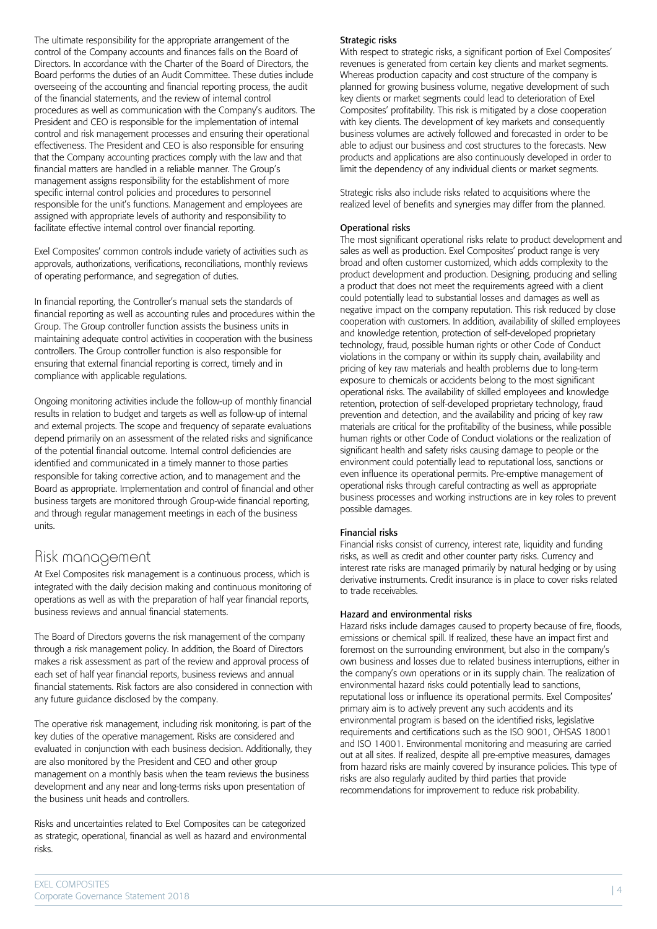The ultimate responsibility for the appropriate arrangement of the control of the Company accounts and finances falls on the Board of Directors. In accordance with the Charter of the Board of Directors, the Board performs the duties of an Audit Committee. These duties include overseeing of the accounting and financial reporting process, the audit of the financial statements, and the review of internal control procedures as well as communication with the Company's auditors. The President and CEO is responsible for the implementation of internal control and risk management processes and ensuring their operational effectiveness. The President and CEO is also responsible for ensuring that the Company accounting practices comply with the law and that financial matters are handled in a reliable manner. The Group's management assigns responsibility for the establishment of more specific internal control policies and procedures to personnel responsible for the unit's functions. Management and employees are assigned with appropriate levels of authority and responsibility to facilitate effective internal control over financial reporting.

Exel Composites' common controls include variety of activities such as approvals, authorizations, verifications, reconciliations, monthly reviews of operating performance, and segregation of duties.

In financial reporting, the Controller's manual sets the standards of financial reporting as well as accounting rules and procedures within the Group. The Group controller function assists the business units in maintaining adequate control activities in cooperation with the business controllers. The Group controller function is also responsible for ensuring that external financial reporting is correct, timely and in compliance with applicable regulations.

Ongoing monitoring activities include the follow-up of monthly financial results in relation to budget and targets as well as follow-up of internal and external projects. The scope and frequency of separate evaluations depend primarily on an assessment of the related risks and significance of the potential financial outcome. Internal control deficiencies are identified and communicated in a timely manner to those parties responsible for taking corrective action, and to management and the Board as appropriate. Implementation and control of financial and other business targets are monitored through Group-wide financial reporting, and through regular management meetings in each of the business units.

#### Risk management

At Exel Composites risk management is a continuous process, which is integrated with the daily decision making and continuous monitoring of operations as well as with the preparation of half year financial reports, business reviews and annual financial statements.

The Board of Directors governs the risk management of the company through a risk management policy. In addition, the Board of Directors makes a risk assessment as part of the review and approval process of each set of half year financial reports, business reviews and annual financial statements. Risk factors are also considered in connection with any future guidance disclosed by the company.

The operative risk management, including risk monitoring, is part of the key duties of the operative management. Risks are considered and evaluated in conjunction with each business decision. Additionally, they are also monitored by the President and CEO and other group management on a monthly basis when the team reviews the business development and any near and long-terms risks upon presentation of the business unit heads and controllers.

Risks and uncertainties related to Exel Composites can be categorized as strategic, operational, financial as well as hazard and environmental risks.

#### Strategic risks

With respect to strategic risks, a significant portion of Exel Composites' revenues is generated from certain key clients and market segments. Whereas production capacity and cost structure of the company is planned for growing business volume, negative development of such key clients or market segments could lead to deterioration of Exel Composites' profitability. This risk is mitigated by a close cooperation with key clients. The development of key markets and consequently business volumes are actively followed and forecasted in order to be able to adjust our business and cost structures to the forecasts. New products and applications are also continuously developed in order to limit the dependency of any individual clients or market segments.

Strategic risks also include risks related to acquisitions where the realized level of benefits and synergies may differ from the planned.

#### Operational risks

The most significant operational risks relate to product development and sales as well as production. Exel Composites' product range is very broad and often customer customized, which adds complexity to the product development and production. Designing, producing and selling a product that does not meet the requirements agreed with a client could potentially lead to substantial losses and damages as well as negative impact on the company reputation. This risk reduced by close cooperation with customers. In addition, availability of skilled employees and knowledge retention, protection of self-developed proprietary technology, fraud, possible human rights or other Code of Conduct violations in the company or within its supply chain, availability and pricing of key raw materials and health problems due to long-term exposure to chemicals or accidents belong to the most significant operational risks. The availability of skilled employees and knowledge retention, protection of self-developed proprietary technology, fraud prevention and detection, and the availability and pricing of key raw materials are critical for the profitability of the business, while possible human rights or other Code of Conduct violations or the realization of significant health and safety risks causing damage to people or the environment could potentially lead to reputational loss, sanctions or even influence its operational permits. Pre-emptive management of operational risks through careful contracting as well as appropriate business processes and working instructions are in key roles to prevent possible damages.

#### Financial risks

Financial risks consist of currency, interest rate, liquidity and funding risks, as well as credit and other counter party risks. Currency and interest rate risks are managed primarily by natural hedging or by using derivative instruments. Credit insurance is in place to cover risks related to trade receivables.

#### Hazard and environmental risks

Hazard risks include damages caused to property because of fire, floods, emissions or chemical spill. If realized, these have an impact first and foremost on the surrounding environment, but also in the company's own business and losses due to related business interruptions, either in the company's own operations or in its supply chain. The realization of environmental hazard risks could potentially lead to sanctions, reputational loss or influence its operational permits. Exel Composites' primary aim is to actively prevent any such accidents and its environmental program is based on the identified risks, legislative requirements and certifications such as the ISO 9001, OHSAS 18001 and ISO 14001. Environmental monitoring and measuring are carried out at all sites. If realized, despite all pre-emptive measures, damages from hazard risks are mainly covered by insurance policies. This type of risks are also regularly audited by third parties that provide recommendations for improvement to reduce risk probability.